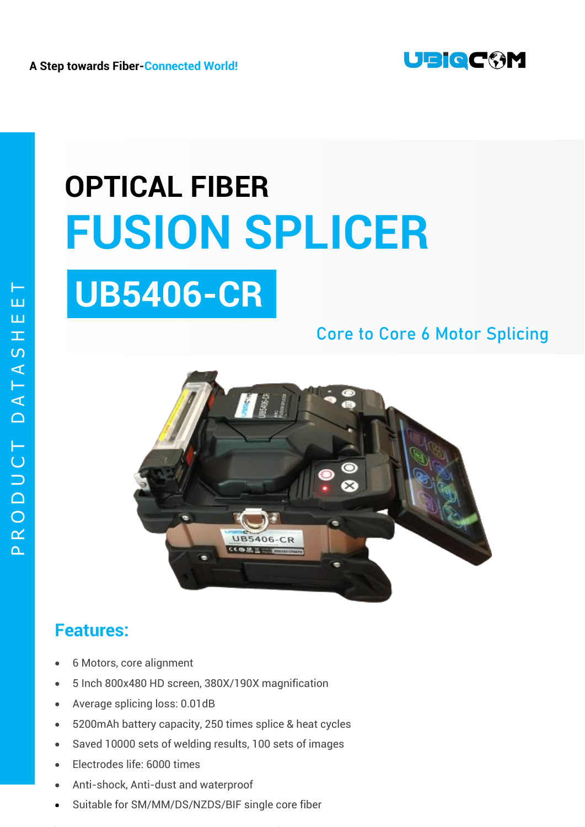

# **OPTICAL FIBER FUSION SPLICER UB5406-CR**

### Core to Core **6 Motor** Splicing



#### **Features:**

- 6 Motors, core alignment
- 5 Inch 800x480 HD screen, 380X/190X magnification
- Average splicing loss: 0.01dB
- 5200mAh battery capacity, 250 times splice & heat cycles
- Saved 10000 sets of welding results, 100 sets of images
- Electrodes life: 6000 times
- Anti-shock, Anti-dust and waterproof
- Suitable for SM/MM/DS/NZDS/BIF single core fiber